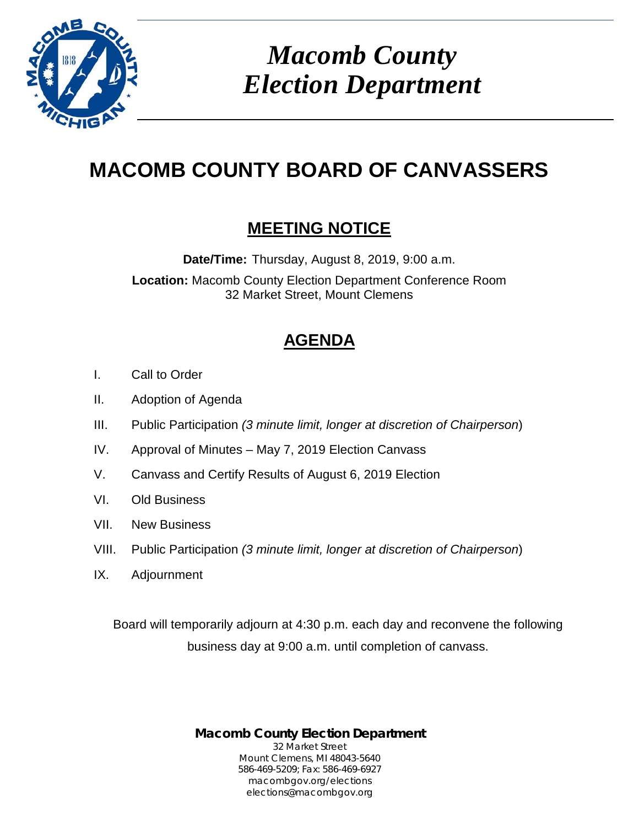

*Macomb County Election Department*

# **MACOMB COUNTY BOARD OF CANVASSERS**

## **MEETING NOTICE**

**Date/Time:** Thursday, August 8, 2019, 9:00 a.m.

**Location:** Macomb County Election Department Conference Room 32 Market Street, Mount Clemens

# **AGENDA**

- I. Call to Order
- II. Adoption of Agenda
- III. Public Participation *(3 minute limit, longer at discretion of Chairperson*)
- IV. Approval of Minutes May 7, 2019 Election Canvass
- V. Canvass and Certify Results of August 6, 2019 Election
- VI. Old Business
- VII. New Business
- VIII. Public Participation *(3 minute limit, longer at discretion of Chairperson*)
- IX. Adjournment

Board will temporarily adjourn at 4:30 p.m. each day and reconvene the following business day at 9:00 a.m. until completion of canvass.

> **Macomb County Election Department** 32 Market Street Mount Clemens, MI 48043-5640 586-469-5209; Fax: 586-469-6927 macombgov.org/elections elections@macombgov.org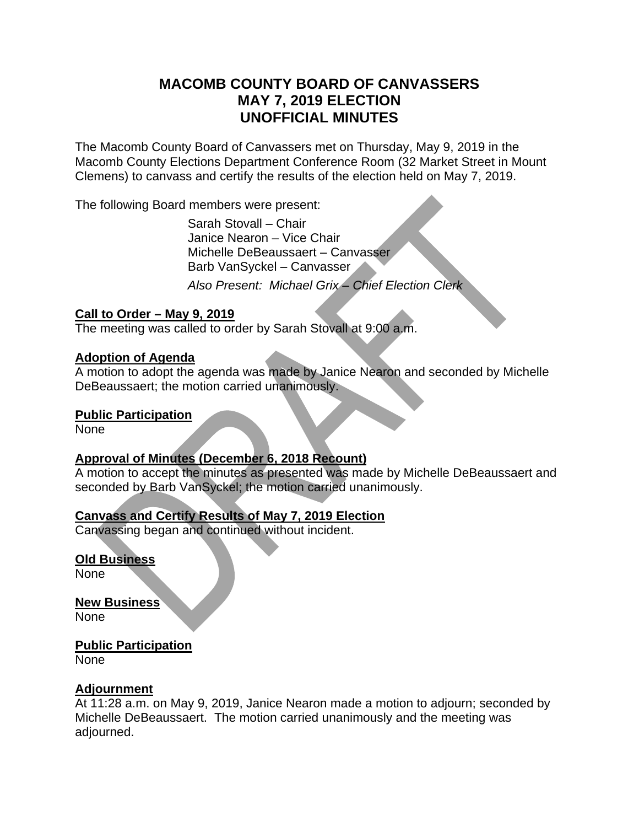#### **MACOMB COUNTY BOARD OF CANVASSERS MAY 7, 2019 ELECTION UNOFFICIAL MINUTES**

The Macomb County Board of Canvassers met on Thursday, May 9, 2019 in the Macomb County Elections Department Conference Room (32 Market Street in Mount Clemens) to canvass and certify the results of the election held on May 7, 2019.

The following Board members were present:

 Sarah Stovall – Chair Janice Nearon – Vice Chair Michelle DeBeaussaert – Canvasser Barb VanSyckel – Canvasser

*Also Present: Michael Grix – Chief Election Clerk* 

#### **Call to Order – May 9, 2019**

The meeting was called to order by Sarah Stovall at 9:00 a.m.

#### **Adoption of Agenda**

A motion to adopt the agenda was made by Janice Nearon and seconded by Michelle DeBeaussaert; the motion carried unanimously.

#### **Public Participation**

None

#### **Approval of Minutes (December 6, 2018 Recount)**

A motion to accept the minutes as presented was made by Michelle DeBeaussaert and seconded by Barb VanSyckel; the motion carried unanimously.

#### **Canvass and Certify Results of May 7, 2019 Election**

Canvassing began and continued without incident.

#### **Old Business**

None

**New Business**  None

### **Public Participation**

None

#### **Adjournment**

At 11:28 a.m. on May 9, 2019, Janice Nearon made a motion to adjourn; seconded by Michelle DeBeaussaert. The motion carried unanimously and the meeting was adjourned.